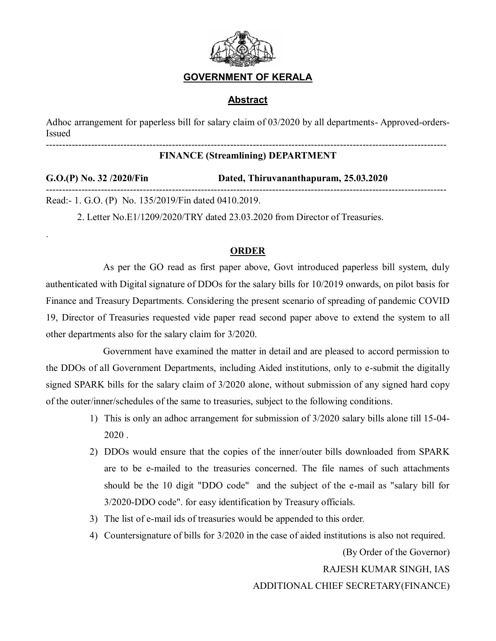

## **GOVERNMENT OF KERALA**

## **Abstract**

Adhoc arrangement for paperless bill for salary claim of 03/2020 by all departments- Approved-orders-Issued ----------------------------------------------------------------------------------------------------------------------------

## **FINANCE (Streamlining) DEPARTMENT**

| $G.O.(P)$ No. 32 /2020/Fin                           | Dated, Thiruvananthapuram, 25.03.2020 |
|------------------------------------------------------|---------------------------------------|
| Read:- 1. G.O. (P) No. 135/2019/Fin dated 0410.2019. |                                       |

2. Letter No.E1/1209/2020/TRY dated 23.03.2020 from Director of Treasuries.

.

## **ORDER**

As per the GO read as first paper above, Govt introduced paperless bill system, duly authenticated with Digital signature of DDOs for the salary bills for 10/2019 onwards, on pilot basis for Finance and Treasury Departments. Considering the present scenario of spreading of pandemic COVID 19, Director of Treasuries requested vide paper read second paper above to extend the system to all other departments also for the salary claim for 3/2020.

Government have examined the matter in detail and are pleased to accord permission to the DDOs of all Government Departments, including Aided institutions, only to e-submit the digitally signed SPARK bills for the salary claim of 3/2020 alone, without submission of any signed hard copy of the outer/inner/schedules of the same to treasuries, subject to the following conditions.

- 1) This is only an adhoc arrangement for submission of 3/2020 salary bills alone till 15-04- 2020 .
- 2) DDOs would ensure that the copies of the inner/outer bills downloaded from SPARK are to be e-mailed to the treasuries concerned. The file names of such attachments should be the 10 digit "DDO code" and the subject of the e-mail as "salary bill for 3/2020-DDO code". for easy identification by Treasury officials.
- 3) The list of e-mail ids of treasuries would be appended to this order.
- 4) Countersignature of bills for 3/2020 in the case of aided institutions is also not required.

 (By Order of the Governor) RAJESH KUMAR SINGH, IAS ADDITIONAL CHIEF SECRETARY(FINANCE)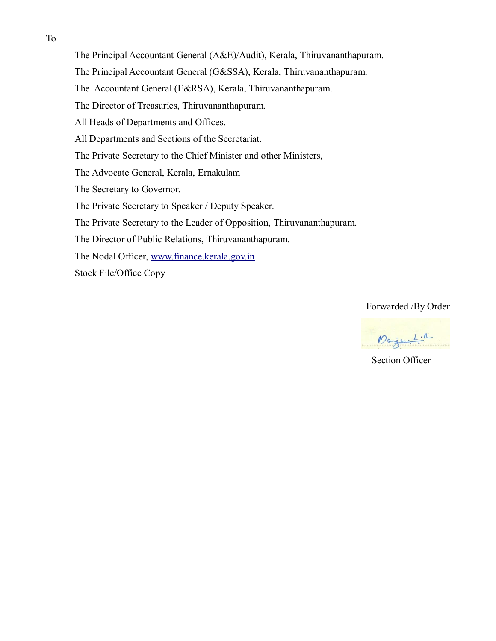The Principal Accountant General (A&E)/Audit), Kerala, Thiruvananthapuram.

The Principal Accountant General (G&SSA), Kerala, Thiruvananthapuram.

The Accountant General (E&RSA), Kerala, Thiruvananthapuram.

The Director of Treasuries, Thiruvananthapuram.

All Heads of Departments and Offices.

All Departments and Sections of the Secretariat.

The Private Secretary to the Chief Minister and other Ministers,

The Advocate General, Kerala, Ernakulam

The Secretary to Governor.

The Private Secretary to Speaker / Deputy Speaker.

The Private Secretary to the Leader of Opposition, Thiruvananthapuram.

The Director of Public Relations, Thiruvananthapuram.

The Nodal Officer, [www.finance.kerala.gov.in](http://www.finance.kerala.gov.in/)

Stock File/Office Copy

Forwarded /By Order

Marguelin

Section Officer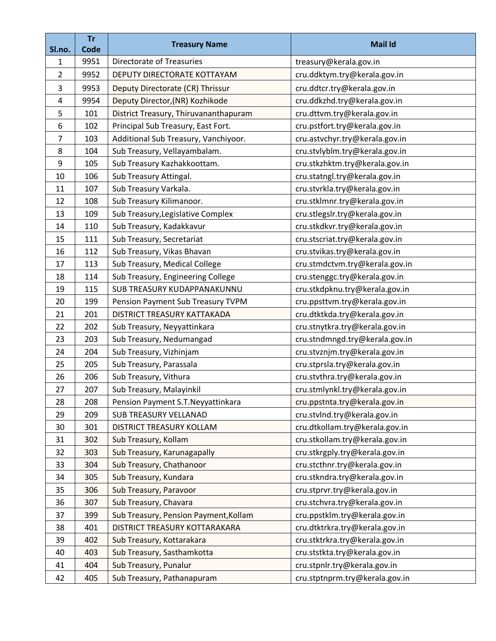|                | <b>Tr</b>    | <b>Treasury Name</b>                  | <b>Mail Id</b>                 |
|----------------|--------------|---------------------------------------|--------------------------------|
| Sl.no.<br>1    | Code<br>9951 | <b>Directorate of Treasuries</b>      | treasury@kerala.gov.in         |
| $\overline{2}$ | 9952         | DEPUTY DIRECTORATE KOTTAYAM           | cru.ddktym.try@kerala.gov.in   |
|                |              |                                       |                                |
| 3              | 9953         | Deputy Directorate (CR) Thrissur      | cru.ddtcr.try@kerala.gov.in    |
| 4<br>5         | 9954         | Deputy Director, (NR) Kozhikode       | cru.ddkzhd.try@kerala.gov.in   |
|                | 101          | District Treasury, Thiruvananthapuram | cru.dttvm.try@kerala.gov.in    |
| 6              | 102          | Principal Sub Treasury, East Fort.    | cru.pstfort.try@kerala.gov.in  |
| 7              | 103          | Additional Sub Treasury, Vanchiyoor.  | cru.astvchyr.try@kerala.gov.in |
| 8              | 104          | Sub Treasury, Vellayambalam.          | cru.stvlyblm.try@kerala.gov.in |
| 9              | 105          | Sub Treasury Kazhakkoottam.           | cru.stkzhktm.try@kerala.gov.in |
| 10             | 106          | Sub Treasury Attingal.                | cru.statngl.try@kerala.gov.in  |
| 11             | 107          | Sub Treasury Varkala.                 | cru.stvrkla.try@kerala.gov.in  |
| 12             | 108          | Sub Treasury Kilimanoor.              | cru.stklmnr.try@kerala.gov.in  |
| 13             | 109          | Sub Treasury, Legislative Complex     | cru.stlegslr.try@kerala.gov.in |
| 14             | 110          | Sub Treasury, Kadakkavur              | cru.stkdkvr.try@kerala.gov.in  |
| 15             | 111          | Sub Treasury, Secretariat             | cru.stscriat.try@kerala.gov.in |
| 16             | 112          | Sub Treasury, Vikas Bhavan            | cru.stvikas.try@kerala.gov.in  |
| 17             | 113          | Sub Treasury, Medical College         | cru.stmdctvm.try@kerala.gov.in |
| 18             | 114          | Sub Treasury, Engineering College     | cru.stenggc.try@kerala.gov.in  |
| 19             | 115          | SUB TREASURY KUDAPPANAKUNNU           | cru.stkdpknu.try@kerala.gov.in |
| 20             | 199          | Pension Payment Sub Treasury TVPM     | cru.ppsttvm.try@kerala.gov.in  |
| 21             | 201          | DISTRICT TREASURY KATTAKADA           | cru.dtktkda.try@kerala.gov.in  |
| 22             | 202          | Sub Treasury, Neyyattinkara           | cru.stnytkra.try@kerala.gov.in |
| 23             | 203          | Sub Treasury, Nedumangad              | cru.stndmngd.try@kerala.gov.in |
| 24             | 204          | Sub Treasury, Vizhinjam               | cru.stvznjm.try@kerala.gov.in  |
| 25             | 205          | Sub Treasury, Parassala               | cru.stprsla.try@kerala.gov.in  |
| 26             | 206          | Sub Treasury, Vithura                 | cru.stvthra.try@kerala.gov.in  |
| 27             | 207          | Sub Treasury, Malayinkil              | cru.stmlynkl.try@kerala.gov.in |
| 28             | 208          | Pension Payment S.T. Neyyattinkara    | cru.ppstnta.try@kerala.gov.in  |
| 29             | 209          | <b>SUB TREASURY VELLANAD</b>          | cru.stvlnd.try@kerala.gov.in   |
| 30             | 301          | DISTRICT TREASURY KOLLAM              | cru.dtkollam.try@kerala.gov.in |
| 31             | 302          | Sub Treasury, Kollam                  | cru.stkollam.try@kerala.gov.in |
| 32             | 303          | Sub Treasury, Karunagapally           | cru.stkrgply.try@kerala.gov.in |
| 33             | 304          | Sub Treasury, Chathanoor              | cru.stcthnr.try@kerala.gov.in  |
| 34             | 305          | Sub Treasury, Kundara                 | cru.stkndra.try@kerala.gov.in  |
| 35             | 306          | Sub Treasury, Paravoor                | cru.stprvr.try@kerala.gov.in   |
| 36             | 307          | Sub Treasury, Chavara                 | cru.stchvra.try@kerala.gov.in  |
| 37             | 399          | Sub Treasury, Pension Payment, Kollam | cru.ppstklm.try@kerala.gov.in  |
| 38             | 401          | DISTRICT TREASURY KOTTARAKARA         | cru.dtktrkra.try@kerala.gov.in |
| 39             | 402          | Sub Treasury, Kottarakara             | cru.stktrkra.try@kerala.gov.in |
| 40             | 403          | Sub Treasury, Sasthamkotta            | cru.ststkta.try@kerala.gov.in  |
| 41             | 404          | Sub Treasury, Punalur                 | cru.stpnlr.try@kerala.gov.in   |
| 42             | 405          | Sub Treasury, Pathanapuram            | cru.stptnprm.try@kerala.gov.in |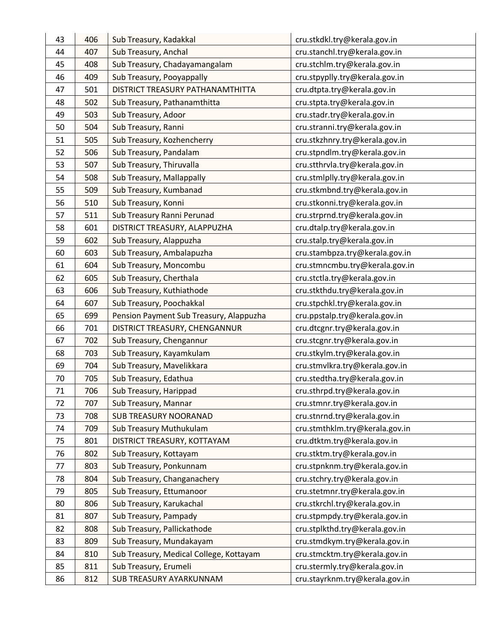| 43 | 406 | Sub Treasury, Kadakkal                  | cru.stkdkl.try@kerala.gov.in   |
|----|-----|-----------------------------------------|--------------------------------|
| 44 | 407 | Sub Treasury, Anchal                    | cru.stanchl.try@kerala.gov.in  |
| 45 | 408 | Sub Treasury, Chadayamangalam           | cru.stchlm.try@kerala.gov.in   |
| 46 | 409 | Sub Treasury, Pooyappally               | cru.stpyplly.try@kerala.gov.in |
| 47 | 501 | DISTRICT TREASURY PATHANAMTHITTA        | cru.dtpta.try@kerala.gov.in    |
| 48 | 502 | Sub Treasury, Pathanamthitta            | cru.stpta.try@kerala.gov.in    |
| 49 | 503 | Sub Treasury, Adoor                     | cru.stadr.try@kerala.gov.in    |
| 50 | 504 | Sub Treasury, Ranni                     | cru.stranni.try@kerala.gov.in  |
| 51 | 505 | Sub Treasury, Kozhencherry              | cru.stkzhnry.try@kerala.gov.in |
| 52 | 506 | Sub Treasury, Pandalam                  | cru.stpndlm.try@kerala.gov.in  |
| 53 | 507 | Sub Treasury, Thiruvalla                | cru.stthrvla.try@kerala.gov.in |
| 54 | 508 | Sub Treasury, Mallappally               | cru.stmlplly.try@kerala.gov.in |
| 55 | 509 | Sub Treasury, Kumbanad                  | cru.stkmbnd.try@kerala.gov.in  |
| 56 | 510 | Sub Treasury, Konni                     | cru.stkonni.try@kerala.gov.in  |
| 57 | 511 | Sub Treasury Ranni Perunad              | cru.strprnd.try@kerala.gov.in  |
| 58 | 601 | DISTRICT TREASURY, ALAPPUZHA            | cru.dtalp.try@kerala.gov.in    |
| 59 | 602 | Sub Treasury, Alappuzha                 | cru.stalp.try@kerala.gov.in    |
| 60 | 603 | Sub Treasury, Ambalapuzha               | cru.stambpza.try@kerala.gov.in |
| 61 | 604 | Sub Treasury, Moncombu                  | cru.stmncmbu.try@kerala.gov.in |
| 62 | 605 | Sub Treasury, Cherthala                 | cru.stctla.try@kerala.gov.in   |
| 63 | 606 | Sub Treasury, Kuthiathode               | cru.stkthdu.try@kerala.gov.in  |
| 64 | 607 | Sub Treasury, Poochakkal                | cru.stpchkl.try@kerala.gov.in  |
| 65 | 699 | Pension Payment Sub Treasury, Alappuzha | cru.ppstalp.try@kerala.gov.in  |
| 66 | 701 | DISTRICT TREASURY, CHENGANNUR           | cru.dtcgnr.try@kerala.gov.in   |
| 67 | 702 | Sub Treasury, Chengannur                | cru.stcgnr.try@kerala.gov.in   |
| 68 | 703 | Sub Treasury, Kayamkulam                | cru.stkylm.try@kerala.gov.in   |
| 69 | 704 | Sub Treasury, Mavelikkara               | cru.stmvlkra.try@kerala.gov.in |
| 70 | 705 | Sub Treasury, Edathua                   | cru.stedtha.try@kerala.gov.in  |
| 71 | 706 | Sub Treasury, Harippad                  | cru.sthrpd.try@kerala.gov.in   |
| 72 | 707 | Sub Treasury, Mannar                    | cru.stmnr.try@kerala.gov.in    |
| 73 | 708 | <b>SUB TREASURY NOORANAD</b>            | cru.stnrnd.try@kerala.gov.in   |
| 74 | 709 | Sub Treasury Muthukulam                 | cru.stmthklm.try@kerala.gov.in |
| 75 | 801 | DISTRICT TREASURY, KOTTAYAM             | cru.dtktm.try@kerala.gov.in    |
| 76 | 802 | Sub Treasury, Kottayam                  | cru.stktm.try@kerala.gov.in    |
| 77 | 803 | Sub Treasury, Ponkunnam                 | cru.stpnknm.try@kerala.gov.in  |
| 78 | 804 | Sub Treasury, Changanachery             | cru.stchry.try@kerala.gov.in   |
| 79 | 805 | Sub Treasury, Ettumanoor                | cru.stetmnr.try@kerala.gov.in  |
| 80 | 806 | Sub Treasury, Karukachal                | cru.stkrchl.try@kerala.gov.in  |
| 81 | 807 | Sub Treasury, Pampady                   | cru.stpmpdy.try@kerala.gov.in  |
| 82 | 808 | Sub Treasury, Pallickathode             | cru.stplkthd.try@kerala.gov.in |
| 83 | 809 | Sub Treasury, Mundakayam                | cru.stmdkym.try@kerala.gov.in  |
| 84 | 810 | Sub Treasury, Medical College, Kottayam | cru.stmcktm.try@kerala.gov.in  |
| 85 | 811 | Sub Treasury, Erumeli                   | cru.stermly.try@kerala.gov.in  |
| 86 | 812 | SUB TREASURY AYARKUNNAM                 | cru.stayrknm.try@kerala.gov.in |
|    |     |                                         |                                |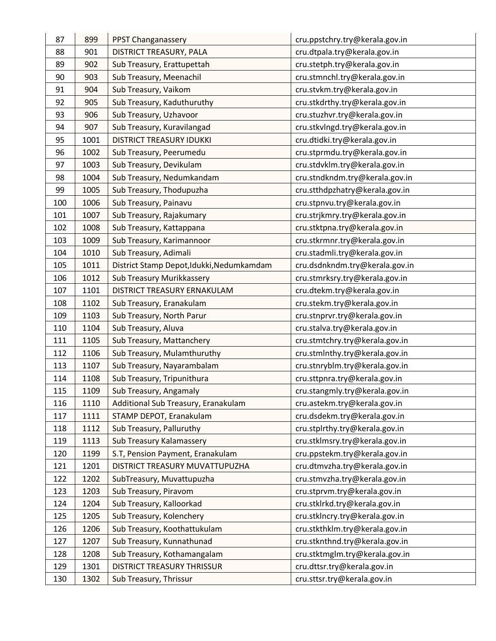| 87  | 899  | PPST Changanassery                        | cru.ppstchry.try@kerala.gov.in |
|-----|------|-------------------------------------------|--------------------------------|
| 88  | 901  | DISTRICT TREASURY, PALA                   | cru.dtpala.try@kerala.gov.in   |
| 89  | 902  | Sub Treasury, Erattupettah                | cru.stetph.try@kerala.gov.in   |
| 90  | 903  | Sub Treasury, Meenachil                   | cru.stmnchl.try@kerala.gov.in  |
| 91  | 904  | Sub Treasury, Vaikom                      | cru.stvkm.try@kerala.gov.in    |
| 92  | 905  | Sub Treasury, Kaduthuruthy                | cru.stkdrthy.try@kerala.gov.in |
| 93  | 906  | Sub Treasury, Uzhavoor                    | cru.stuzhvr.try@kerala.gov.in  |
| 94  | 907  | Sub Treasury, Kuravilangad                | cru.stkvlngd.try@kerala.gov.in |
| 95  | 1001 | <b>DISTRICT TREASURY IDUKKI</b>           | cru.dtidki.try@kerala.gov.in   |
| 96  | 1002 | Sub Treasury, Peerumedu                   | cru.stprmdu.try@kerala.gov.in  |
| 97  | 1003 | Sub Treasury, Devikulam                   | cru.stdvklm.try@kerala.gov.in  |
| 98  | 1004 | Sub Treasury, Nedumkandam                 | cru.stndkndm.try@kerala.gov.in |
| 99  | 1005 | Sub Treasury, Thodupuzha                  | cru.stthdpzhatry@kerala.gov.in |
| 100 | 1006 | Sub Treasury, Painavu                     | cru.stpnvu.try@kerala.gov.in   |
| 101 | 1007 | Sub Treasury, Rajakumary                  | cru.strjkmry.try@kerala.gov.in |
| 102 | 1008 | Sub Treasury, Kattappana                  | cru.stktpna.try@kerala.gov.in  |
| 103 | 1009 | Sub Treasury, Karimannoor                 | cru.stkrmnr.try@kerala.gov.in  |
| 104 | 1010 | Sub Treasury, Adimali                     | cru.stadmli.try@kerala.gov.in  |
| 105 | 1011 | District Stamp Depot, Idukki, Nedumkamdam | cru.dsdnkndm.try@kerala.gov.in |
| 106 | 1012 | Sub Treasury Murikkassery                 | cru.stmrksry.try@kerala.gov.in |
| 107 | 1101 | DISTRICT TREASURY ERNAKULAM               | cru.dtekm.try@kerala.gov.in    |
| 108 | 1102 | Sub Treasury, Eranakulam                  | cru.stekm.try@kerala.gov.in    |
| 109 | 1103 | Sub Treasury, North Parur                 | cru.stnprvr.try@kerala.gov.in  |
| 110 | 1104 | Sub Treasury, Aluva                       | cru.stalva.try@kerala.gov.in   |
| 111 | 1105 | Sub Treasury, Mattanchery                 | cru.stmtchry.try@kerala.gov.in |
| 112 | 1106 | Sub Treasury, Mulamthuruthy               | cru.stmlnthy.try@kerala.gov.in |
| 113 | 1107 | Sub Treasury, Nayarambalam                | cru.stnryblm.try@kerala.gov.in |
| 114 | 1108 | Sub Treasury, Tripunithura                | cru.sttpnra.try@kerala.gov.in  |
| 115 | 1109 | Sub Treasury, Angamaly                    | cru.stangmly.try@kerala.gov.in |
| 116 | 1110 | Additional Sub Treasury, Eranakulam       | cru.astekm.try@kerala.gov.in   |
| 117 | 1111 | STAMP DEPOT, Eranakulam                   | cru.dsdekm.try@kerala.gov.in   |
| 118 | 1112 | Sub Treasury, Palluruthy                  | cru.stplrthy.try@kerala.gov.in |
| 119 | 1113 | Sub Treasury Kalamassery                  | cru.stklmsry.try@kerala.gov.in |
| 120 | 1199 | S.T, Pension Payment, Eranakulam          | cru.ppstekm.try@kerala.gov.in  |
| 121 | 1201 | DISTRICT TREASURY MUVATTUPUZHA            | cru.dtmvzha.try@kerala.gov.in  |
| 122 | 1202 | SubTreasury, Muvattupuzha                 | cru.stmvzha.try@kerala.gov.in  |
| 123 | 1203 | Sub Treasury, Piravom                     | cru.stprvm.try@kerala.gov.in   |
| 124 | 1204 | Sub Treasury, Kalloorkad                  | cru.stklrkd.try@kerala.gov.in  |
| 125 | 1205 | Sub Treasury, Kolenchery                  | cru.stklncry.try@kerala.gov.in |
| 126 | 1206 | Sub Treasury, Koothattukulam              | cru.stkthklm.try@kerala.gov.in |
| 127 | 1207 | Sub Treasury, Kunnathunad                 | cru.stknthnd.try@kerala.gov.in |
| 128 | 1208 | Sub Treasury, Kothamangalam               | cru.stktmglm.try@kerala.gov.in |
| 129 | 1301 | DISTRICT TREASURY THRISSUR                | cru.dttsr.try@kerala.gov.in    |
| 130 | 1302 | Sub Treasury, Thrissur                    | cru.sttsr.try@kerala.gov.in    |
|     |      |                                           |                                |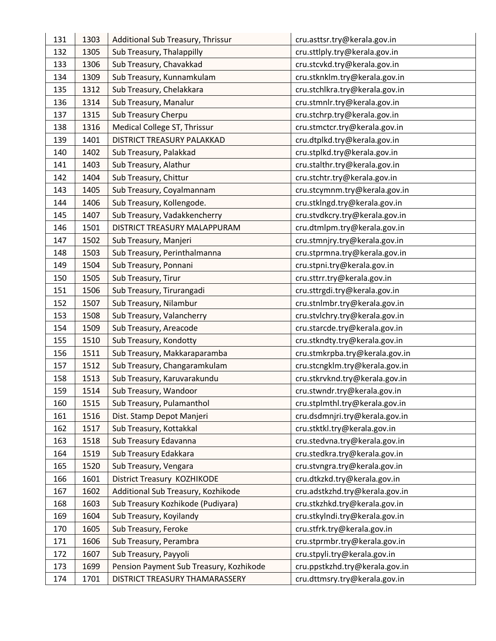| 131 | 1303 | Additional Sub Treasury, Thrissur       | cru.asttsr.try@kerala.gov.in   |
|-----|------|-----------------------------------------|--------------------------------|
| 132 | 1305 | Sub Treasury, Thalappilly               | cru.sttlply.try@kerala.gov.in  |
| 133 | 1306 | Sub Treasury, Chavakkad                 | cru.stcvkd.try@kerala.gov.in   |
| 134 | 1309 | Sub Treasury, Kunnamkulam               | cru.stknklm.try@kerala.gov.in  |
| 135 | 1312 | Sub Treasury, Chelakkara                | cru.stchlkra.try@kerala.gov.in |
| 136 | 1314 | Sub Treasury, Manalur                   | cru.stmnlr.try@kerala.gov.in   |
| 137 | 1315 | Sub Treasury Cherpu                     | cru.stchrp.try@kerala.gov.in   |
| 138 | 1316 | Medical College ST, Thrissur            | cru.stmctcr.try@kerala.gov.in  |
| 139 | 1401 | DISTRICT TREASURY PALAKKAD              | cru.dtplkd.try@kerala.gov.in   |
| 140 | 1402 | Sub Treasury, Palakkad                  | cru.stplkd.try@kerala.gov.in   |
| 141 | 1403 | Sub Treasury, Alathur                   | cru.stalthr.try@kerala.gov.in  |
| 142 | 1404 | Sub Treasury, Chittur                   | cru.stchtr.try@kerala.gov.in   |
| 143 | 1405 | Sub Treasury, Coyalmannam               | cru.stcymnm.try@kerala.gov.in  |
| 144 | 1406 |                                         |                                |
| 145 |      | Sub Treasury, Kollengode.               | cru.stklngd.try@kerala.gov.in  |
|     | 1407 | Sub Treasury, Vadakkencherry            | cru.stvdkcry.try@kerala.gov.in |
| 146 | 1501 | DISTRICT TREASURY MALAPPURAM            | cru.dtmlpm.try@kerala.gov.in   |
| 147 | 1502 | Sub Treasury, Manjeri                   | cru.stmnjry.try@kerala.gov.in  |
| 148 | 1503 | Sub Treasury, Perinthalmanna            | cru.stprmna.try@kerala.gov.in  |
| 149 | 1504 | Sub Treasury, Ponnani                   | cru.stpni.try@kerala.gov.in    |
| 150 | 1505 | Sub Treasury, Tirur                     | cru.sttrr.try@kerala.gov.in    |
| 151 | 1506 | Sub Treasury, Tirurangadi               | cru.sttrgdi.try@kerala.gov.in  |
| 152 | 1507 | Sub Treasury, Nilambur                  | cru.stnlmbr.try@kerala.gov.in  |
| 153 | 1508 | Sub Treasury, Valancherry               | cru.stvlchry.try@kerala.gov.in |
| 154 | 1509 | Sub Treasury, Areacode                  | cru.starcde.try@kerala.gov.in  |
| 155 | 1510 | Sub Treasury, Kondotty                  | cru.stkndty.try@kerala.gov.in  |
| 156 | 1511 | Sub Treasury, Makkaraparamba            | cru.stmkrpba.try@kerala.gov.in |
| 157 | 1512 | Sub Treasury, Changaramkulam            | cru.stcngklm.try@kerala.gov.in |
| 158 | 1513 | Sub Treasury, Karuvarakundu             | cru.stkrvknd.try@kerala.gov.in |
| 159 | 1514 | Sub Treasury, Wandoor                   | cru.stwndr.try@kerala.gov.in   |
| 160 | 1515 | Sub Treasury, Pulamanthol               | cru.stplmthl.try@kerala.gov.in |
| 161 | 1516 | Dist. Stamp Depot Manjeri               | cru.dsdmnjri.try@kerala.gov.in |
| 162 | 1517 | Sub Treasury, Kottakkal                 | cru.stktkl.try@kerala.gov.in   |
| 163 | 1518 | Sub Treasury Edavanna                   | cru.stedvna.try@kerala.gov.in  |
| 164 | 1519 | Sub Treasury Edakkara                   | cru.stedkra.try@kerala.gov.in  |
| 165 | 1520 | Sub Treasury, Vengara                   | cru.stvngra.try@kerala.gov.in  |
| 166 | 1601 | District Treasury KOZHIKODE             | cru.dtkzkd.try@kerala.gov.in   |
| 167 | 1602 | Additional Sub Treasury, Kozhikode      | cru.adstkzhd.try@kerala.gov.in |
| 168 | 1603 | Sub Treasury Kozhikode (Pudiyara)       | cru.stkzhkd.try@kerala.gov.in  |
| 169 | 1604 | Sub Treasury, Koyilandy                 | cru.stkylndi.try@kerala.gov.in |
| 170 | 1605 | Sub Treasury, Feroke                    | cru.stfrk.try@kerala.gov.in    |
| 171 | 1606 | Sub Treasury, Perambra                  | cru.stprmbr.try@kerala.gov.in  |
| 172 | 1607 | Sub Treasury, Payyoli                   | cru.stpyli.try@kerala.gov.in   |
| 173 | 1699 | Pension Payment Sub Treasury, Kozhikode | cru.ppstkzhd.try@kerala.gov.in |
| 174 | 1701 | DISTRICT TREASURY THAMARASSERY          | cru.dttmsry.try@kerala.gov.in  |
|     |      |                                         |                                |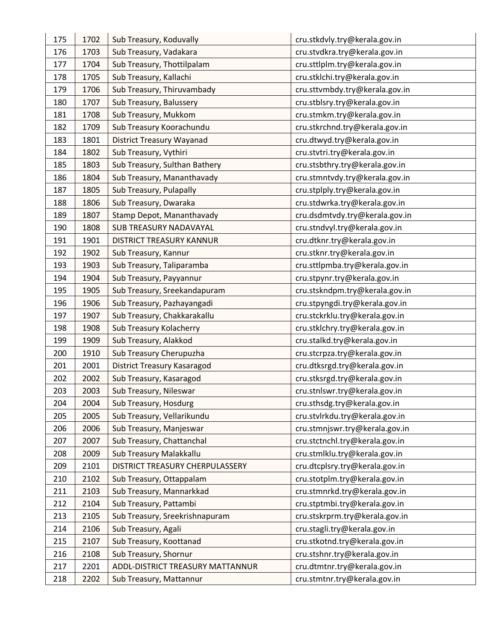| 175 | 1702 | Sub Treasury, Koduvally          | cru.stkdvly.try@kerala.gov.in  |
|-----|------|----------------------------------|--------------------------------|
| 176 | 1703 | Sub Treasury, Vadakara           | cru.stvdkra.try@kerala.gov.in  |
| 177 | 1704 | Sub Treasury, Thottilpalam       | cru.sttlplm.try@kerala.gov.in  |
| 178 | 1705 | Sub Treasury, Kallachi           | cru.stklchi.try@kerala.gov.in  |
| 179 | 1706 | Sub Treasury, Thiruvambady       | cru.sttvmbdy.try@kerala.gov.in |
| 180 | 1707 | Sub Treasury, Balussery          | cru.stblsry.try@kerala.gov.in  |
| 181 | 1708 | Sub Treasury, Mukkom             | cru.stmkm.try@kerala.gov.in    |
| 182 | 1709 | Sub Treasury Koorachundu         | cru.stkrchnd.try@kerala.gov.in |
| 183 | 1801 | <b>District Treasury Wayanad</b> | cru.dtwyd.try@kerala.gov.in    |
| 184 | 1802 | Sub Treasury, Vythiri            | cru.stvtri.try@kerala.gov.in   |
| 185 | 1803 | Sub Treasury, Sulthan Bathery    | cru.stsbthry.try@kerala.gov.in |
| 186 | 1804 | Sub Treasury, Mananthavady       | cru.stmntvdy.try@kerala.gov.in |
| 187 | 1805 | Sub Treasury, Pulapally          | cru.stplply.try@kerala.gov.in  |
| 188 | 1806 | Sub Treasury, Dwaraka            | cru.stdwrka.try@kerala.gov.in  |
| 189 | 1807 | Stamp Depot, Mananthavady        | cru.dsdmtvdy.try@kerala.gov.in |
| 190 | 1808 | <b>SUB TREASURY NADAVAYAL</b>    | cru.stndvyl.try@kerala.gov.in  |
| 191 | 1901 | DISTRICT TREASURY KANNUR         | cru.dtknr.try@kerala.gov.in    |
| 192 | 1902 | Sub Treasury, Kannur             | cru.stknr.try@kerala.gov.in    |
| 193 | 1903 | Sub Treasury, Taliparamba        | cru.sttlpmba.try@kerala.gov.in |
| 194 | 1904 | Sub Treasury, Payyannur          | cru.stpynr.try@kerala.gov.in   |
| 195 | 1905 | Sub Treasury, Sreekandapuram     | cru.stskndpm.try@kerala.gov.in |
| 196 | 1906 | Sub Treasury, Pazhayangadi       | cru.stpyngdi.try@kerala.gov.in |
| 197 | 1907 | Sub Treasury, Chakkarakallu      | cru.stckrklu.try@kerala.gov.in |
| 198 | 1908 | Sub Treasury Kolacherry          | cru.stklchry.try@kerala.gov.in |
| 199 | 1909 | Sub Treasury, Alakkod            | cru.stalkd.try@kerala.gov.in   |
| 200 | 1910 | Sub Treasury Cherupuzha          | cru.stcrpza.try@kerala.gov.in  |
| 201 | 2001 |                                  |                                |
|     |      | District Treasury Kasaragod      | cru.dtksrgd.try@kerala.gov.in  |
| 202 | 2002 | Sub Treasury, Kasaragod          | cru.stksrgd.try@kerala.gov.in  |
| 203 | 2003 | Sub Treasury, Nileswar           | cru.stnlswr.try@kerala.gov.in  |
| 204 | 2004 | Sub Treasury, Hosdurg            | cru.sthsdg.try@kerala.gov.in   |
| 205 | 2005 | Sub Treasury, Vellarikundu       | cru.stvlrkdu.try@kerala.gov.in |
| 206 | 2006 | Sub Treasury, Manjeswar          | cru.stmnjswr.try@kerala.gov.in |
| 207 | 2007 | Sub Treasury, Chattanchal        | cru.stctnchl.try@kerala.gov.in |
| 208 | 2009 | Sub Treasury Malakkallu          | cru.stmlklu.try@kerala.gov.in  |
| 209 | 2101 | DISTRICT TREASURY CHERPULASSERY  | cru.dtcplsry.try@kerala.gov.in |
| 210 | 2102 | Sub Treasury, Ottappalam         | cru.stotplm.try@kerala.gov.in  |
| 211 | 2103 | Sub Treasury, Mannarkkad         | cru.stmnrkd.try@kerala.gov.in  |
| 212 | 2104 | Sub Treasury, Pattambi           | cru.stptmbi.try@kerala.gov.in  |
| 213 | 2105 | Sub Treasury, Sreekrishnapuram   | cru.stskrprm.try@kerala.gov.in |
| 214 | 2106 | Sub Treasury, Agali              | cru.stagli.try@kerala.gov.in   |
| 215 | 2107 | Sub Treasury, Koottanad          | cru.stkotnd.try@kerala.gov.in  |
| 216 | 2108 | Sub Treasury, Shornur            | cru.stshnr.try@kerala.gov.in   |
| 217 | 2201 | ADDL-DISTRICT TREASURY MATTANNUR | cru.dtmtnr.try@kerala.gov.in   |
| 218 | 2202 | Sub Treasury, Mattannur          | cru.stmtnr.try@kerala.gov.in   |